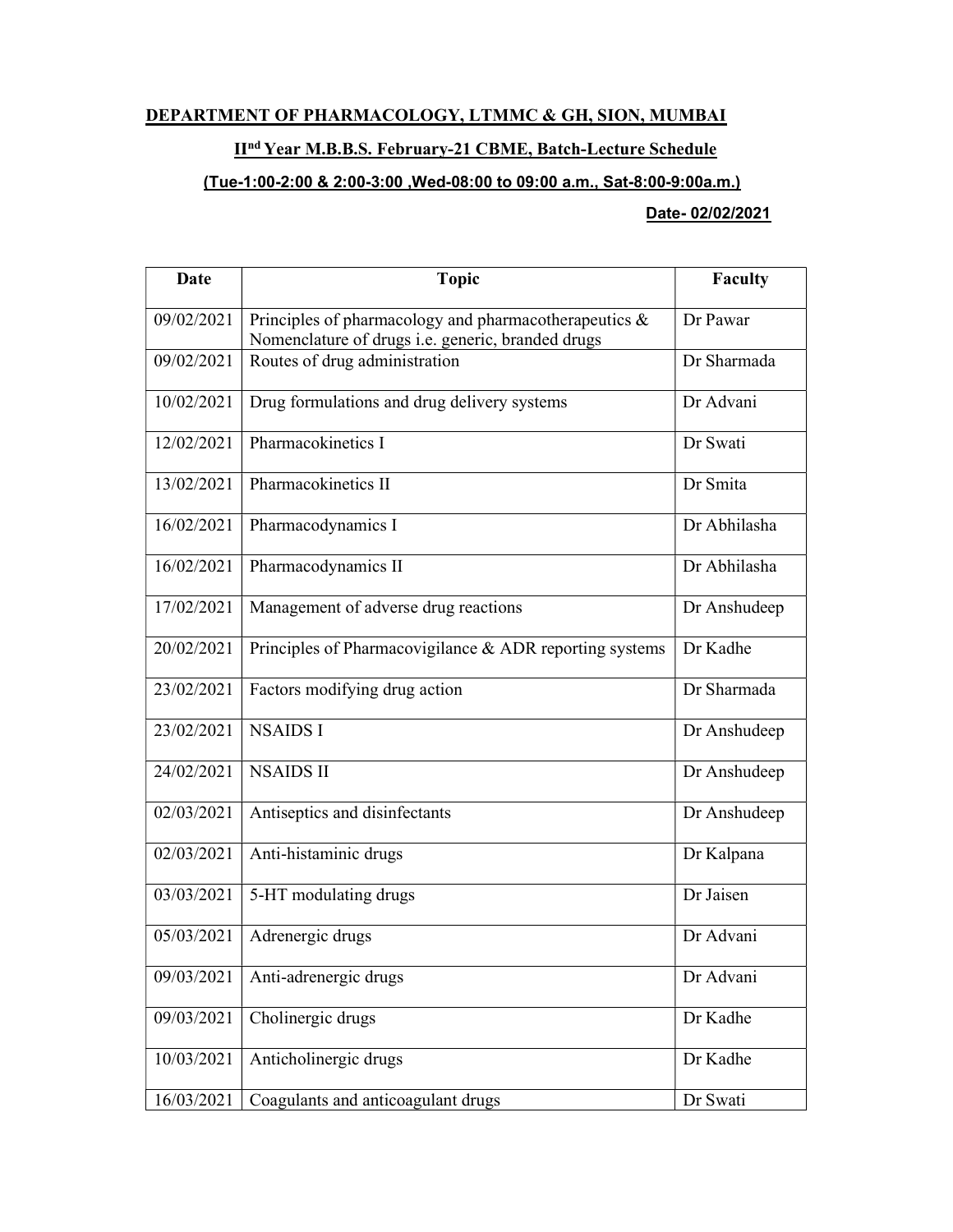## DEPARTMENT OF PHARMACOLOGY, LTMMC & GH, SION, MUMBAI

## IInd Year M.B.B.S. February-21 CBME, Batch-Lecture Schedule

## (Tue-1:00-2:00 & 2:00-3:00 ,Wed-08:00 to 09:00 a.m., Sat-8:00-9:00a.m.)

## Date- 02/02/2021

| Date       | <b>Topic</b>                                                                                               | <b>Faculty</b> |
|------------|------------------------------------------------------------------------------------------------------------|----------------|
| 09/02/2021 | Principles of pharmacology and pharmacotherapeutics &<br>Nomenclature of drugs i.e. generic, branded drugs | Dr Pawar       |
| 09/02/2021 | Routes of drug administration                                                                              | Dr Sharmada    |
| 10/02/2021 | Drug formulations and drug delivery systems                                                                | Dr Advani      |
| 12/02/2021 | Pharmacokinetics I                                                                                         | Dr Swati       |
| 13/02/2021 | Pharmacokinetics II                                                                                        | Dr Smita       |
| 16/02/2021 | Pharmacodynamics I                                                                                         | Dr Abhilasha   |
| 16/02/2021 | Pharmacodynamics II                                                                                        | Dr Abhilasha   |
| 17/02/2021 | Management of adverse drug reactions                                                                       | Dr Anshudeep   |
| 20/02/2021 | Principles of Pharmacovigilance & ADR reporting systems                                                    | Dr Kadhe       |
| 23/02/2021 | Factors modifying drug action                                                                              | Dr Sharmada    |
| 23/02/2021 | <b>NSAIDS I</b>                                                                                            | Dr Anshudeep   |
| 24/02/2021 | <b>NSAIDS II</b>                                                                                           | Dr Anshudeep   |
| 02/03/2021 | Antiseptics and disinfectants                                                                              | Dr Anshudeep   |
| 02/03/2021 | Anti-histaminic drugs                                                                                      | Dr Kalpana     |
| 03/03/2021 | 5-HT modulating drugs                                                                                      | Dr Jaisen      |
| 05/03/2021 | Adrenergic drugs                                                                                           | Dr Advani      |
| 09/03/2021 | Anti-adrenergic drugs                                                                                      | Dr Advani      |
| 09/03/2021 | Cholinergic drugs                                                                                          | Dr Kadhe       |
| 10/03/2021 | Anticholinergic drugs                                                                                      | Dr Kadhe       |
| 16/03/2021 | Coagulants and anticoagulant drugs                                                                         | Dr Swati       |